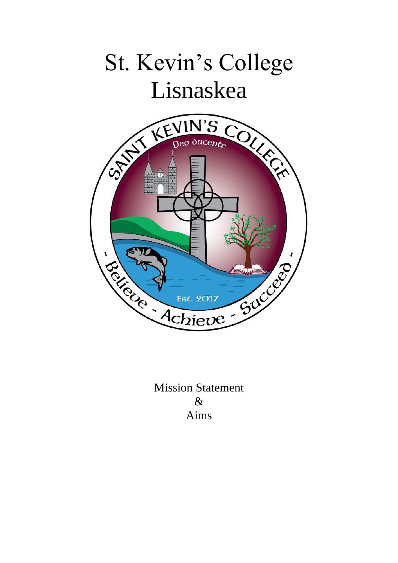

Mission Statement & Aims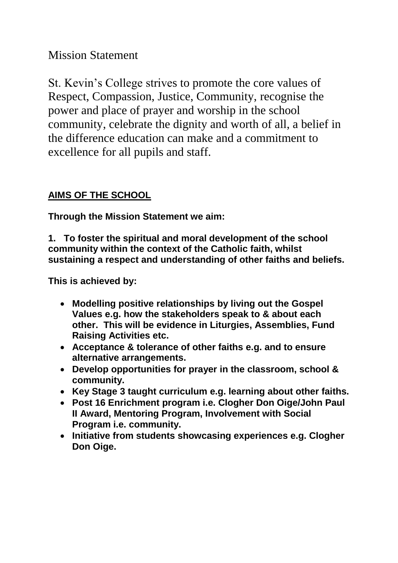Mission Statement

St. Kevin's College strives to promote the core values of Respect, Compassion, Justice, Community, recognise the power and place of prayer and worship in the school community, celebrate the dignity and worth of all, a belief in the difference education can make and a commitment to excellence for all pupils and staff.

## **AIMS OF THE SCHOOL**

**Through the Mission Statement we aim:**

**1. To foster the spiritual and moral development of the school community within the context of the Catholic faith, whilst sustaining a respect and understanding of other faiths and beliefs.**

- **Modelling positive relationships by living out the Gospel Values e.g. how the stakeholders speak to & about each other. This will be evidence in Liturgies, Assemblies, Fund Raising Activities etc.**
- **Acceptance & tolerance of other faiths e.g. and to ensure alternative arrangements.**
- **Develop opportunities for prayer in the classroom, school & community.**
- **Key Stage 3 taught curriculum e.g. learning about other faiths.**
- **Post 16 Enrichment program i.e. Clogher Don Oige/John Paul II Award, Mentoring Program, Involvement with Social Program i.e. community.**
- **Initiative from students showcasing experiences e.g. Clogher Don Oige.**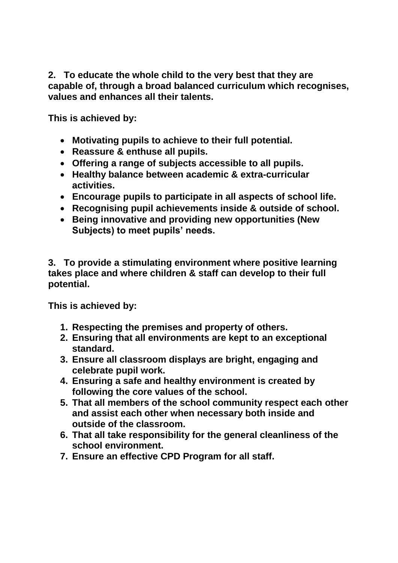**2. To educate the whole child to the very best that they are capable of, through a broad balanced curriculum which recognises, values and enhances all their talents.**

**This is achieved by:**

- **Motivating pupils to achieve to their full potential.**
- **Reassure & enthuse all pupils.**
- **Offering a range of subjects accessible to all pupils.**
- **Healthy balance between academic & extra-curricular activities.**
- **Encourage pupils to participate in all aspects of school life.**
- **Recognising pupil achievements inside & outside of school.**
- **Being innovative and providing new opportunities (New Subjects) to meet pupils' needs.**

**3. To provide a stimulating environment where positive learning takes place and where children & staff can develop to their full potential.**

- **1. Respecting the premises and property of others.**
- **2. Ensuring that all environments are kept to an exceptional standard.**
- **3. Ensure all classroom displays are bright, engaging and celebrate pupil work.**
- **4. Ensuring a safe and healthy environment is created by following the core values of the school.**
- **5. That all members of the school community respect each other and assist each other when necessary both inside and outside of the classroom.**
- **6. That all take responsibility for the general cleanliness of the school environment.**
- **7. Ensure an effective CPD Program for all staff.**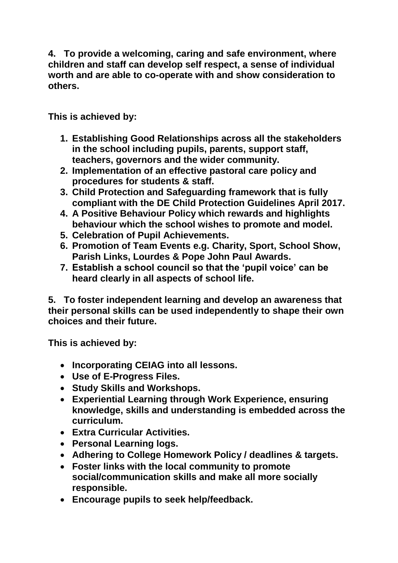**4. To provide a welcoming, caring and safe environment, where children and staff can develop self respect, a sense of individual worth and are able to co-operate with and show consideration to others.**

**This is achieved by:**

- **1. Establishing Good Relationships across all the stakeholders in the school including pupils, parents, support staff, teachers, governors and the wider community.**
- **2. Implementation of an effective pastoral care policy and procedures for students & staff.**
- **3. Child Protection and Safeguarding framework that is fully compliant with the DE Child Protection Guidelines April 2017.**
- **4. A Positive Behaviour Policy which rewards and highlights behaviour which the school wishes to promote and model.**
- **5. Celebration of Pupil Achievements.**
- **6. Promotion of Team Events e.g. Charity, Sport, School Show, Parish Links, Lourdes & Pope John Paul Awards.**
- **7. Establish a school council so that the 'pupil voice' can be heard clearly in all aspects of school life.**

**5. To foster independent learning and develop an awareness that their personal skills can be used independently to shape their own choices and their future.**

- **Incorporating CEIAG into all lessons.**
- **Use of E-Progress Files.**
- **Study Skills and Workshops.**
- **Experiential Learning through Work Experience, ensuring knowledge, skills and understanding is embedded across the curriculum.**
- **Extra Curricular Activities.**
- **Personal Learning logs.**
- **Adhering to College Homework Policy / deadlines & targets.**
- **Foster links with the local community to promote social/communication skills and make all more socially responsible.**
- **Encourage pupils to seek help/feedback.**